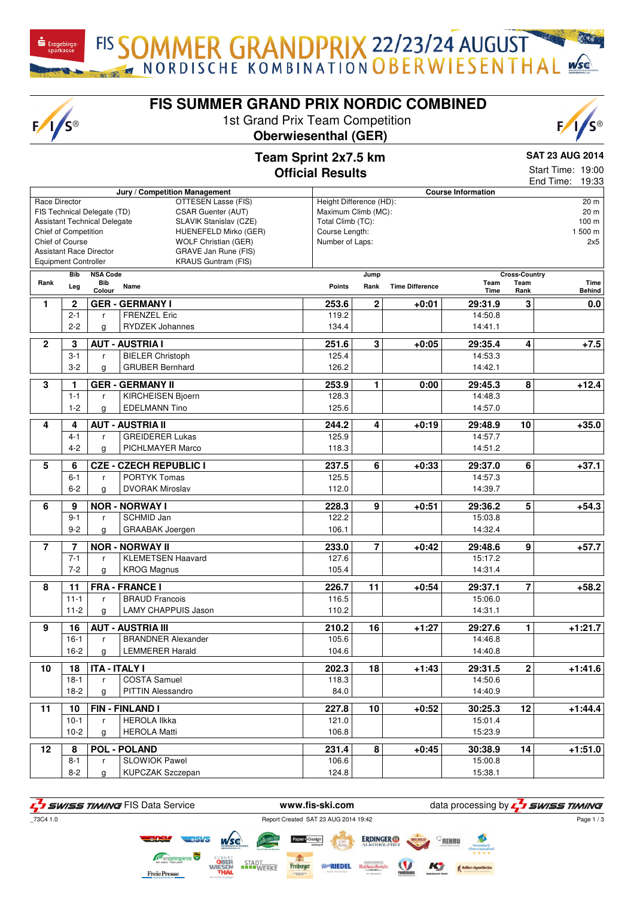FIS SOMMER GRANDPRIX 22/23/24 AUGUST

 $\mathbf{\dot{S}}$  Erzgebirgs

 $F/I/S^{\circledcirc}$ 

# **FIS SUMMER GRAND PRIX NORDIC COMBINED**

1st Grand Prix Team Competition





### **Team Sprint 2x7.5 km Official Results**

**SAT 23 AUG 2014**

Start Time: 19:00 End Time: 19:33

| Jury / Competition Management                     |                                                             |                                                                                       |                                   |                         |                        | <b>Course Information</b> |                      | בווט ווווופ.<br>ט.טו  |  |
|---------------------------------------------------|-------------------------------------------------------------|---------------------------------------------------------------------------------------|-----------------------------------|-------------------------|------------------------|---------------------------|----------------------|-----------------------|--|
| Race Director<br>OTTESEN Lasse (FIS)              |                                                             |                                                                                       |                                   | Height Difference (HD): |                        |                           |                      | 20 m                  |  |
| CSAR Guenter (AUT)<br>FIS Technical Delegate (TD) |                                                             |                                                                                       |                                   | Maximum Climb (MC):     |                        |                           |                      | 20 <sub>m</sub>       |  |
|                                                   | SLAVIK Stanislav (CZE)                                      | Total Climb (TC):                                                                     |                                   |                         |                        |                           | 100 m                |                       |  |
|                                                   | <b>Assistant Technical Delegate</b><br>Chief of Competition |                                                                                       |                                   |                         |                        |                           |                      | 1 500 m               |  |
| Chief of Course                                   |                                                             | HUENEFELD Mirko (GER)                                                                 | Course Length:<br>Number of Laps: |                         |                        |                           |                      | 2x5                   |  |
|                                                   |                                                             | <b>WOLF Christian (GER)</b><br><b>Assistant Race Director</b><br>GRAVE Jan Rune (FIS) |                                   |                         |                        |                           |                      |                       |  |
|                                                   |                                                             | <b>KRAUS Guntram (FIS)</b>                                                            |                                   |                         |                        |                           |                      |                       |  |
| <b>Equipment Controller</b>                       |                                                             |                                                                                       |                                   |                         |                        |                           |                      |                       |  |
|                                                   | <b>Bib</b><br><b>NSA Code</b><br>Rank<br>Bib                |                                                                                       |                                   | Jump                    |                        |                           | <b>Cross-Country</b> |                       |  |
|                                                   | Leg                                                         | Name<br>Colour                                                                        | <b>Points</b>                     | Rank                    | <b>Time Difference</b> | Team<br>Time              | Team<br>Rank         | Time<br><b>Behind</b> |  |
| 1                                                 | $\overline{\mathbf{c}}$                                     | <b>GER - GERMANY I</b>                                                                | 253.6                             | $\overline{2}$          | $+0:01$                | 29:31.9                   | 3                    | 0.0                   |  |
|                                                   | $2 - 1$                                                     | <b>FRENZEL Eric</b>                                                                   | 119.2                             |                         |                        | 14:50.8                   |                      |                       |  |
|                                                   |                                                             | r                                                                                     |                                   |                         |                        |                           |                      |                       |  |
|                                                   | $2 - 2$                                                     | <b>RYDZEK Johannes</b><br>g                                                           | 134.4                             |                         |                        | 14:41.1                   |                      |                       |  |
| $\overline{2}$                                    | 3                                                           | <b>AUT - AUSTRIA I</b>                                                                | 251.6                             | $\overline{\mathbf{3}}$ | $+0:05$                | 29:35.4                   | 4                    | $+7.5$                |  |
|                                                   | $3 - 1$                                                     | <b>BIELER Christoph</b><br>r                                                          | 125.4                             |                         |                        | 14:53.3                   |                      |                       |  |
|                                                   | $3 - 2$                                                     | <b>GRUBER Bernhard</b><br>g                                                           | 126.2                             |                         |                        | 14:42.1                   |                      |                       |  |
|                                                   |                                                             |                                                                                       |                                   |                         |                        |                           |                      |                       |  |
| 3                                                 | 1                                                           | <b>GER - GERMANY II</b>                                                               | 253.9                             | $\mathbf{1}$            | 0:00                   | 29:45.3                   | 8                    | $+12.4$               |  |
|                                                   | $1 - 1$                                                     | KIRCHEISEN Bjoern<br>r                                                                | 128.3                             |                         |                        | 14:48.3                   |                      |                       |  |
|                                                   | $1 - 2$                                                     | <b>EDELMANN Tino</b><br>g                                                             | 125.6                             |                         |                        | 14:57.0                   |                      |                       |  |
|                                                   |                                                             |                                                                                       |                                   |                         |                        |                           |                      |                       |  |
| 4                                                 | 4                                                           | <b>AUT - AUSTRIA II</b>                                                               | 244.2                             | 4                       | $+0:19$                | 29:48.9                   | 10                   | $+35.0$               |  |
|                                                   | $4 - 1$                                                     | <b>GREIDERER Lukas</b><br>r                                                           | 125.9                             |                         |                        | 14:57.7                   |                      |                       |  |
|                                                   | $4 - 2$                                                     | PICHLMAYER Marco<br>g                                                                 | 118.3                             |                         |                        | 14:51.2                   |                      |                       |  |
|                                                   |                                                             |                                                                                       |                                   |                         |                        |                           |                      |                       |  |
| 5                                                 | 6                                                           | <b>CZE - CZECH REPUBLIC I</b>                                                         | 237.5                             | 6                       | $+0:33$                | 29:37.0                   | 6                    | $+37.1$               |  |
|                                                   | $6 - 1$                                                     | PORTYK Tomas<br>r                                                                     | 125.5                             |                         |                        | 14:57.3                   |                      |                       |  |
|                                                   | $6 - 2$                                                     | <b>DVORAK Miroslav</b><br>g                                                           | 112.0                             |                         |                        | 14:39.7                   |                      |                       |  |
| 6                                                 | 9                                                           | <b>NOR - NORWAY I</b>                                                                 | 228.3                             | 9                       | $+0:51$                | 29:36.2                   | $\overline{5}$       | $+54.3$               |  |
|                                                   | $9 - 1$                                                     | SCHMID Jan<br>r                                                                       | 122.2                             |                         |                        | 15:03.8                   |                      |                       |  |
|                                                   |                                                             |                                                                                       | 106.1                             |                         |                        | 14:32.4                   |                      |                       |  |
| $9 - 2$<br><b>GRAABAK Joergen</b><br>g            |                                                             |                                                                                       |                                   |                         |                        |                           |                      |                       |  |
| $\overline{7}$                                    | $\overline{7}$                                              | <b>NOR - NORWAY II</b>                                                                | 233.0                             | $\overline{7}$          | $+0:42$                | 29:48.6                   | 9                    | $+57.7$               |  |
|                                                   | $7 - 1$                                                     | <b>KLEMETSEN Haavard</b><br>r                                                         | 127.6                             |                         |                        | 15:17.2                   |                      |                       |  |
|                                                   | $7 - 2$                                                     | <b>KROG Magnus</b><br>g                                                               | 105.4                             |                         |                        | 14:31.4                   |                      |                       |  |
|                                                   |                                                             |                                                                                       |                                   |                         |                        |                           |                      |                       |  |
| 8                                                 | 11                                                          | <b>FRA - FRANCE I</b>                                                                 | 226.7                             | 11                      | $+0:54$                | 29:37.1                   | $\overline{7}$       | $+58.2$               |  |
|                                                   | $11 - 1$                                                    | <b>BRAUD Francois</b><br>$\mathsf{r}$                                                 | 116.5                             |                         |                        | 15:06.0                   |                      |                       |  |
|                                                   | $11 - 2$                                                    | <b>LAMY CHAPPUIS Jason</b><br>g                                                       | 110.2                             |                         |                        | 14:31.1                   |                      |                       |  |
|                                                   |                                                             |                                                                                       |                                   |                         |                        |                           |                      |                       |  |
| 9                                                 | 16                                                          | <b>AUT - AUSTRIA III</b>                                                              | 210.2                             | 16                      | $+1:27$                | 29:27.6                   | $\mathbf{1}$         | $+1:21.7$             |  |
|                                                   | $16-1$                                                      | <b>BRANDNER Alexander</b><br>r                                                        | 105.6                             |                         |                        | 14:46.8                   |                      |                       |  |
|                                                   | $16-2$                                                      | LEMMERER Harald<br>g                                                                  | 104.6                             |                         |                        | 14:40.8                   |                      |                       |  |
| 10                                                | 18                                                          | <b>ITA - ITALY I</b>                                                                  | 202.3                             | 18                      | $+1:43$                | 29:31.5                   | $\overline{2}$       | $+1:41.6$             |  |
|                                                   |                                                             | <b>COSTA Samuel</b>                                                                   | 118.3                             |                         |                        | 14:50.6                   |                      |                       |  |
|                                                   | $18-1$                                                      | r                                                                                     |                                   |                         |                        |                           |                      |                       |  |
|                                                   | $18-2$                                                      | <b>PITTIN Alessandro</b><br>g                                                         | 84.0                              |                         |                        | 14:40.9                   |                      |                       |  |
| 11                                                | 10                                                          | <b>FIN-FINLAND I</b>                                                                  | 227.8                             | 10                      | $+0:52$                | 30:25.3                   | 12                   | $+1:44.4$             |  |
|                                                   | $10-1$                                                      | <b>HEROLA IIkka</b><br>r                                                              | 121.0                             |                         |                        | 15:01.4                   |                      |                       |  |
|                                                   | $10 - 2$                                                    | <b>HEROLA Matti</b><br>g                                                              | 106.8                             |                         |                        | 15:23.9                   |                      |                       |  |
|                                                   |                                                             |                                                                                       |                                   |                         |                        |                           |                      |                       |  |
| 12                                                | 8                                                           | <b>POL - POLAND</b>                                                                   | 231.4                             | 8                       | $+0:45$                | 30:38.9                   | 14                   | $+1:51.0$             |  |
|                                                   | $8 - 1$                                                     | <b>SLOWIOK Pawel</b><br>r                                                             | 106.6                             |                         |                        | 15:00.8                   |                      |                       |  |
|                                                   | $8 - 2$                                                     | <b>KUPCZAK Szczepan</b><br>g                                                          | 124.8                             |                         |                        | 15:38.1                   |                      |                       |  |
|                                                   |                                                             |                                                                                       |                                   |                         |                        |                           |                      |                       |  |

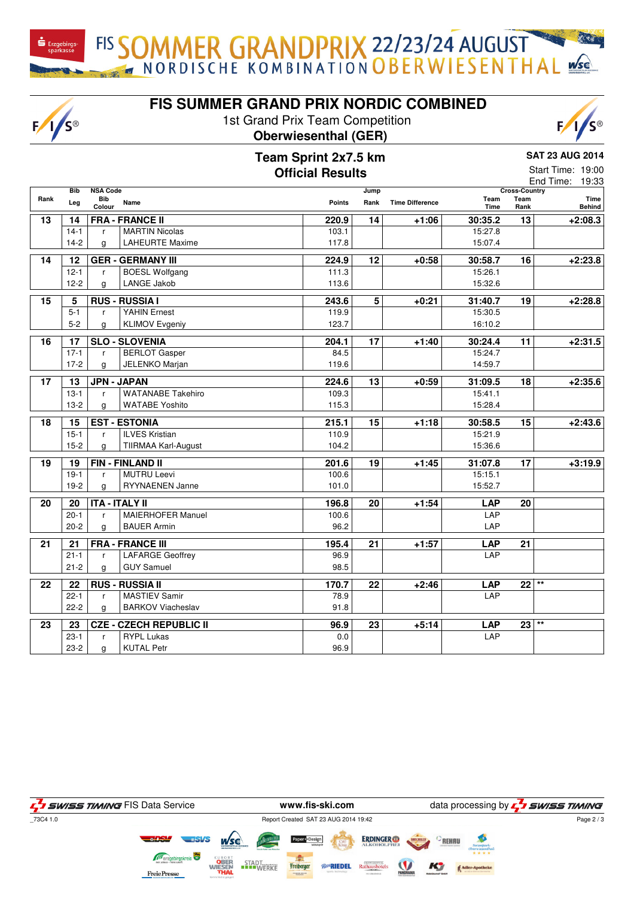FIS SOMMER GRANDPRIX 22/23/24 AUGUST

# **FIS SUMMER GRAND PRIX NORDIC COMBINED**

1st Grand Prix Team Competition **Oberwiesenthal (GER)**

 $F/I/S^{\circledcirc}$ 



|      |                   | Team Sprint 2x7.5 km                       |               |                                      |                        |              | <b>SAT 23 AUG 2014</b>               |                |  |  |
|------|-------------------|--------------------------------------------|---------------|--------------------------------------|------------------------|--------------|--------------------------------------|----------------|--|--|
|      |                   |                                            |               | Start Time: 19:00<br>End Time: 19:33 |                        |              |                                      |                |  |  |
| Rank | <b>Bib</b><br>Leg | <b>NSA Code</b><br>Bib<br>Name<br>Colour   | <b>Points</b> | Jump<br>Rank                         | <b>Time Difference</b> | Team<br>Time | <b>Cross-Country</b><br>Team<br>Rank | Time<br>Behind |  |  |
| 13   | 14                | <b>FRA - FRANCE II</b>                     | 220.9         | 14                                   | $+1:06$                | 30:35.2      | 13                                   | $+2:08.3$      |  |  |
|      | $14 - 1$          | <b>MARTIN Nicolas</b><br>r                 | 103.1         |                                      |                        | 15:27.8      |                                      |                |  |  |
|      | $14-2$            | <b>LAHEURTE Maxime</b><br>g                | 117.8         |                                      |                        | 15:07.4      |                                      |                |  |  |
| 14   | 12                | <b>GER - GERMANY III</b>                   | 224.9         | 12                                   | $+0:58$                | 30:58.7      | 16                                   | $+2:23.8$      |  |  |
|      | $12 - 1$          | <b>BOESL Wolfgang</b><br>r                 | 111.3         |                                      |                        | 15:26.1      |                                      |                |  |  |
|      | $12 - 2$          | LANGE Jakob<br>g                           | 113.6         |                                      |                        | 15:32.6      |                                      |                |  |  |
| 15   | 5                 | <b>RUS - RUSSIA I</b>                      | 243.6         | $\overline{5}$                       | $+0:21$                | 31:40.7      | 19                                   | $+2:28.8$      |  |  |
|      | $5-1$             | <b>YAHIN Ernest</b><br>r.                  | 119.9         |                                      |                        | 15:30.5      |                                      |                |  |  |
|      | $5-2$             | <b>KLIMOV Evgeniy</b><br>$\mathsf{q}$      | 123.7         |                                      |                        | 16:10.2      |                                      |                |  |  |
| 16   | 17                | <b>SLO - SLOVENIA</b>                      | 204.1         | 17                                   | +1:40                  | 30:24.4      | 11                                   | $+2:31.5$      |  |  |
|      | $17-1$            | <b>BERLOT</b> Gasper<br>r                  | 84.5          |                                      |                        | 15:24.7      |                                      |                |  |  |
|      | $17-2$            | <b>JELENKO Marjan</b><br>$\mathsf{q}$      | 119.6         |                                      |                        | 14:59.7      |                                      |                |  |  |
| 17   | 13                | <b>JPN - JAPAN</b>                         | 224.6         | 13                                   | $+0:59$                | 31:09.5      | 18                                   | $+2:35.6$      |  |  |
|      | $13-1$            | <b>WATANABE Takehiro</b><br>r              | 109.3         |                                      |                        | 15:41.1      |                                      |                |  |  |
|      | $13-2$            | <b>WATABE Yoshito</b><br>g                 | 115.3         |                                      |                        | 15:28.4      |                                      |                |  |  |
| 18   | 15                | <b>EST - ESTONIA</b>                       | 215.1         | 15                                   | $+1:18$                | 30:58.5      | 15                                   | $+2:43.6$      |  |  |
|      | $15-1$            | <b>ILVES Kristian</b><br>r                 | 110.9         |                                      |                        | 15:21.9      |                                      |                |  |  |
|      | $15 - 2$          | <b>TIIRMAA Karl-August</b><br>$\mathsf{q}$ | 104.2         |                                      |                        | 15:36.6      |                                      |                |  |  |
| 19   | 19                | <b>FIN - FINLAND II</b>                    | 201.6         | 19                                   | $+1:45$                | 31:07.8      | 17                                   | $+3:19.9$      |  |  |
|      | $19-1$            | <b>MUTRU Leevi</b><br>r                    | 100.6         |                                      |                        | 15:15.1      |                                      |                |  |  |
|      | $19-2$            | RYYNAENEN Janne<br>a                       | 101.0         |                                      |                        | 15:52.7      |                                      |                |  |  |
| 20   | 20                | <b>ITA - ITALY II</b>                      | 196.8         | 20                                   | $+1:54$                | <b>LAP</b>   | 20                                   |                |  |  |
|      | $20-1$            | <b>MAIERHOFER Manuel</b><br>r              | 100.6         |                                      |                        | LAP          |                                      |                |  |  |
|      | $20 - 2$          | <b>BAUER Armin</b><br>$\mathsf{q}$         | 96.2          |                                      |                        | LAP          |                                      |                |  |  |
| 21   | 21                | <b>FRA - FRANCE III</b>                    | 195.4         | $\overline{21}$                      | $+1:57$                | <b>LAP</b>   | $\overline{21}$                      |                |  |  |
|      | $21 - 1$          | <b>LAFARGE Geoffrey</b><br>r               | 96.9          |                                      |                        | LAP          |                                      |                |  |  |
|      | $21 - 2$          | <b>GUY Samuel</b><br>$\mathsf{q}$          | 98.5          |                                      |                        |              |                                      |                |  |  |
| 22   | 22                | <b>RUS - RUSSIA II</b>                     | 170.7         | $\overline{22}$                      | $+2:46$                | <b>LAP</b>   | $22$ **                              |                |  |  |
|      | $22 - 1$          | <b>MASTIEV Samir</b><br>r                  | 78.9          |                                      |                        | LAP          |                                      |                |  |  |
|      | $22-2$            | <b>BARKOV Viacheslav</b><br>$\mathsf{q}$   | 91.8          |                                      |                        |              |                                      |                |  |  |
| 23   | 23                | <b>CZE - CZECH REPUBLIC II</b>             | 96.9          | 23                                   | $+5:14$                | <b>LAP</b>   | $23$ **                              |                |  |  |
|      | $23-1$            | <b>RYPL Lukas</b><br>r                     | 0.0           |                                      |                        | LAP          |                                      |                |  |  |
|      | $23-2$            | <b>KUTAL Petr</b><br>a                     | 96.9          |                                      |                        |              |                                      |                |  |  |